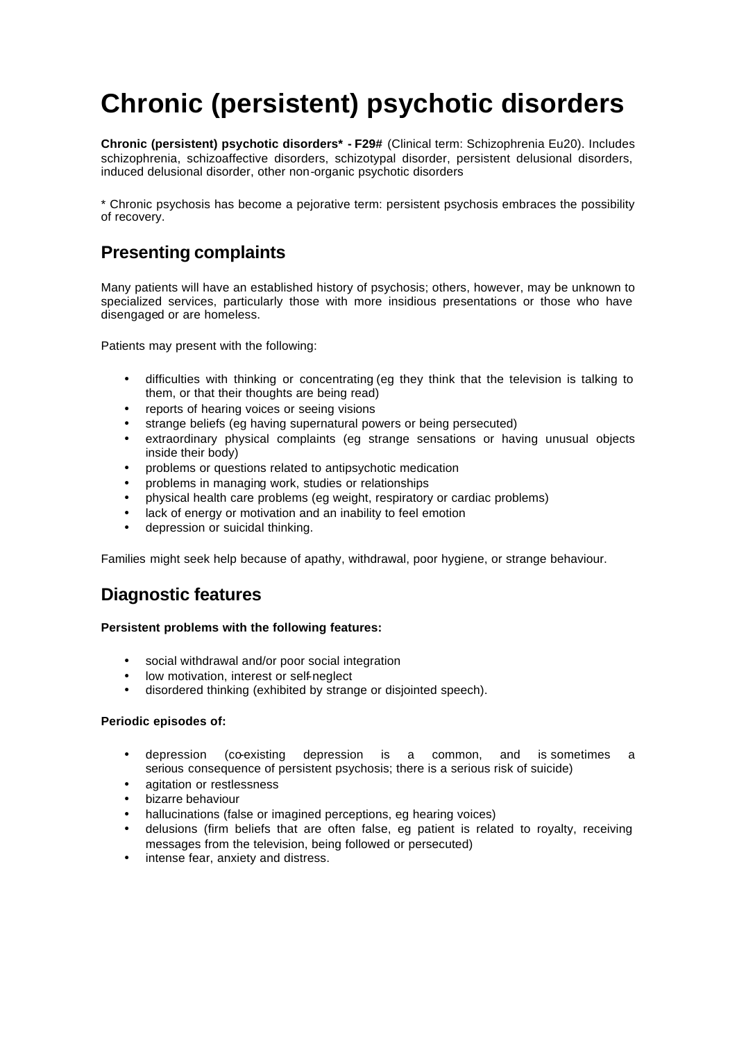# **Chronic (persistent) psychotic disorders**

**Chronic (persistent) psychotic disorders\* - F29#** (Clinical term: Schizophrenia Eu20). Includes schizophrenia, schizoaffective disorders, schizotypal disorder, persistent delusional disorders, induced delusional disorder, other non-organic psychotic disorders

\* Chronic psychosis has become a pejorative term: persistent psychosis embraces the possibility of recovery.

# **Presenting complaints**

Many patients will have an established history of psychosis; others, however, may be unknown to specialized services, particularly those with more insidious presentations or those who have disengaged or are homeless.

Patients may present with the following:

- difficulties with thinking or concentrating (eg they think that the television is talking to them, or that their thoughts are being read)
- reports of hearing voices or seeing visions
- strange beliefs (eg having supernatural powers or being persecuted)
- extraordinary physical complaints (eg strange sensations or having unusual objects inside their body)
- problems or questions related to antipsychotic medication
- problems in managing work, studies or relationships
- physical health care problems (eg weight, respiratory or cardiac problems)
- lack of energy or motivation and an inability to feel emotion
- depression or suicidal thinking.

Families might seek help because of apathy, withdrawal, poor hygiene, or strange behaviour.

### **Diagnostic features**

### **Persistent problems with the following features:**

- social withdrawal and/or poor social integration
- low motivation, interest or self-neglect
- disordered thinking (exhibited by strange or disjointed speech).

### **Periodic episodes of:**

- depression (co-existing depression is a common, and is sometimes a serious consequence of persistent psychosis; there is a serious risk of suicide)
- agitation or restlessness
- bizarre behaviour
- hallucinations (false or imagined perceptions, eg hearing voices)
- delusions (firm beliefs that are often false, eg patient is related to royalty, receiving messages from the television, being followed or persecuted)
- intense fear, anxiety and distress.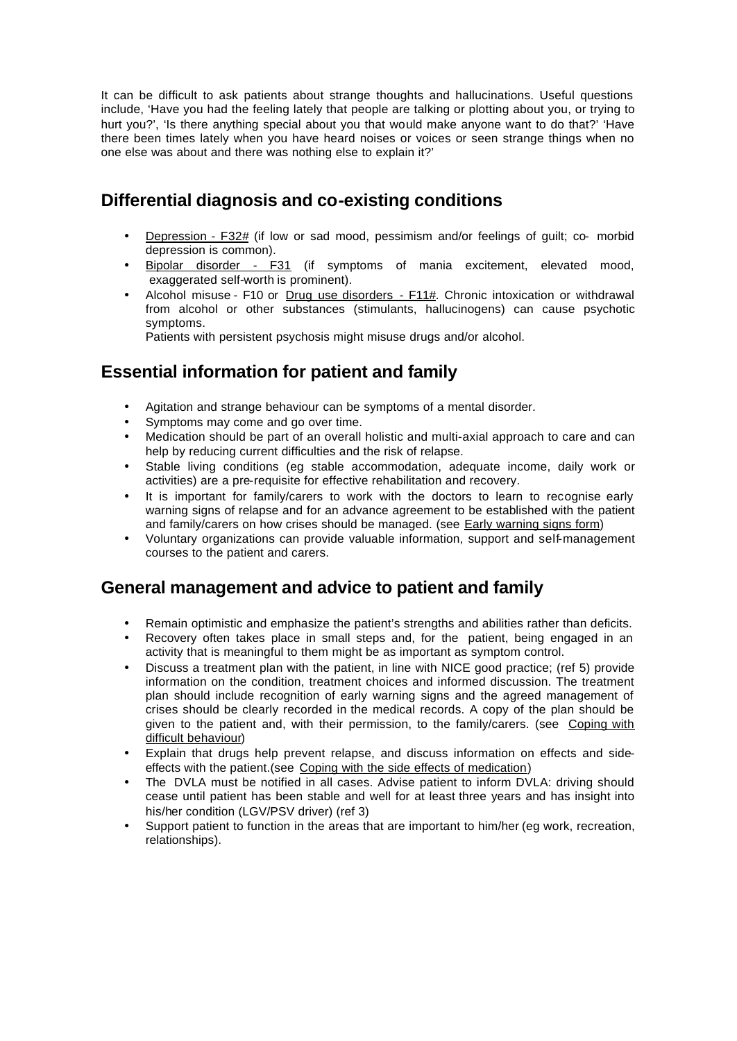It can be difficult to ask patients about strange thoughts and hallucinations. Useful questions include, 'Have you had the feeling lately that people are talking or plotting about you, or trying to hurt you?', 'Is there anything special about you that would make anyone want to do that?' 'Have there been times lately when you have heard noises or voices or seen strange things when no one else was about and there was nothing else to explain it?'

## **Differential diagnosis and co-existing conditions**

- Depression F32# (if low or sad mood, pessimism and/or feelings of guilt; co- morbid depression is common).
- Bipolar disorder F31 (if symptoms of mania excitement, elevated mood, exaggerated self-worth is prominent).
- Alcohol misuse F10 or Drug use disorders F11#. Chronic intoxication or withdrawal from alcohol or other substances (stimulants, hallucinogens) can cause psychotic symptoms.

Patients with persistent psychosis might misuse drugs and/or alcohol.

# **Essential information for patient and family**

- Agitation and strange behaviour can be symptoms of a mental disorder.
- Symptoms may come and go over time.
- Medication should be part of an overall holistic and multi-axial approach to care and can help by reducing current difficulties and the risk of relapse.
- Stable living conditions (eg stable accommodation, adequate income, daily work or activities) are a pre-requisite for effective rehabilitation and recovery.
- It is important for family/carers to work with the doctors to learn to recognise early warning signs of relapse and for an advance agreement to be established with the patient and family/carers on how crises should be managed. (see Early warning signs form)
- Voluntary organizations can provide valuable information, support and self-management courses to the patient and carers.

### **General management and advice to patient and family**

- Remain optimistic and emphasize the patient's strengths and abilities rather than deficits.
- Recovery often takes place in small steps and, for the patient, being engaged in an activity that is meaningful to them might be as important as symptom control.
- Discuss a treatment plan with the patient, in line with NICE good practice; (ref 5) provide information on the condition, treatment choices and informed discussion. The treatment plan should include recognition of early warning signs and the agreed management of crises should be clearly recorded in the medical records. A copy of the plan should be given to the patient and, with their permission, to the family/carers. (see Coping with difficult behaviour)
- Explain that drugs help prevent relapse, and discuss information on effects and sideeffects with the patient.(see Coping with the side effects of medication)
- The DVLA must be notified in all cases. Advise patient to inform DVLA: driving should cease until patient has been stable and well for at least three years and has insight into his/her condition (LGV/PSV driver) (ref 3)
- Support patient to function in the areas that are important to him/her (eg work, recreation, relationships).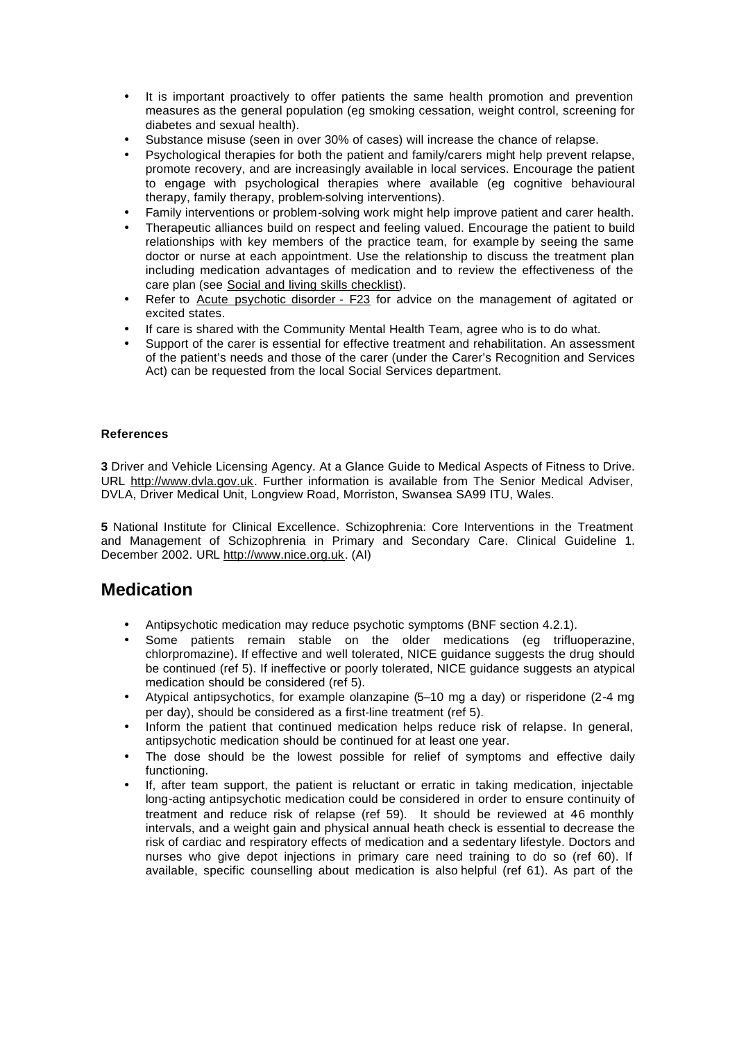- It is important proactively to offer patients the same health promotion and prevention measures as the general population (eg smoking cessation, weight control, screening for diabetes and sexual health).
- Substance misuse (seen in over 30% of cases) will increase the chance of relapse.
- Psychological therapies for both the patient and family/carers might help prevent relapse, promote recovery, and are increasingly available in local services. Encourage the patient to engage with psychological therapies where available (eg cognitive behavioural therapy, family therapy, problem-solving interventions).
- Family interventions or problem-solving work might help improve patient and carer health.
- Therapeutic alliances build on respect and feeling valued. Encourage the patient to build relationships with key members of the practice team, for example by seeing the same doctor or nurse at each appointment. Use the relationship to discuss the treatment plan including medication advantages of medication and to review the effectiveness of the care plan (see Social and living skills checklist).
- Refer to Acute psychotic disorder F23 for advice on the management of agitated or excited states.
- If care is shared with the Community Mental Health Team, agree who is to do what.
- Support of the carer is essential for effective treatment and rehabilitation. An assessment of the patient's needs and those of the carer (under the Carer's Recognition and Services Act) can be requested from the local Social Services department.

### **References**

**3** Driver and Vehicle Licensing Agency. At a Glance Guide to Medical Aspects of Fitness to Drive. URL http://www.dvla.gov.uk. Further information is available from The Senior Medical Adviser, DVLA, Driver Medical Unit, Longview Road, Morriston, Swansea SA99 ITU, Wales.

**5** National Institute for Clinical Excellence. Schizophrenia: Core Interventions in the Treatment and Management of Schizophrenia in Primary and Secondary Care. Clinical Guideline 1. December 2002. URL http://www.nice.org.uk. (AI)

### **Medication**

- Antipsychotic medication may reduce psychotic symptoms (BNF section 4.2.1).
- Some patients remain stable on the older medications (eg trifluoperazine, chlorpromazine). If effective and well tolerated, NICE guidance suggests the drug should be continued (ref 5). If ineffective or poorly tolerated, NICE guidance suggests an atypical medication should be considered (ref 5).
- Atypical antipsychotics, for example olanzapine (5–10 mg a day) or risperidone (2-4 mg per day), should be considered as a first-line treatment (ref 5).
- Inform the patient that continued medication helps reduce risk of relapse. In general, antipsychotic medication should be continued for at least one year.
- The dose should be the lowest possible for relief of symptoms and effective daily functioning.
- If, after team support, the patient is reluctant or erratic in taking medication, injectable long-acting antipsychotic medication could be considered in order to ensure continuity of treatment and reduce risk of relapse (ref 59). It should be reviewed at 46 monthly intervals, and a weight gain and physical annual heath check is essential to decrease the risk of cardiac and respiratory effects of medication and a sedentary lifestyle. Doctors and nurses who give depot injections in primary care need training to do so (ref 60). If available, specific counselling about medication is also helpful (ref 61). As part of the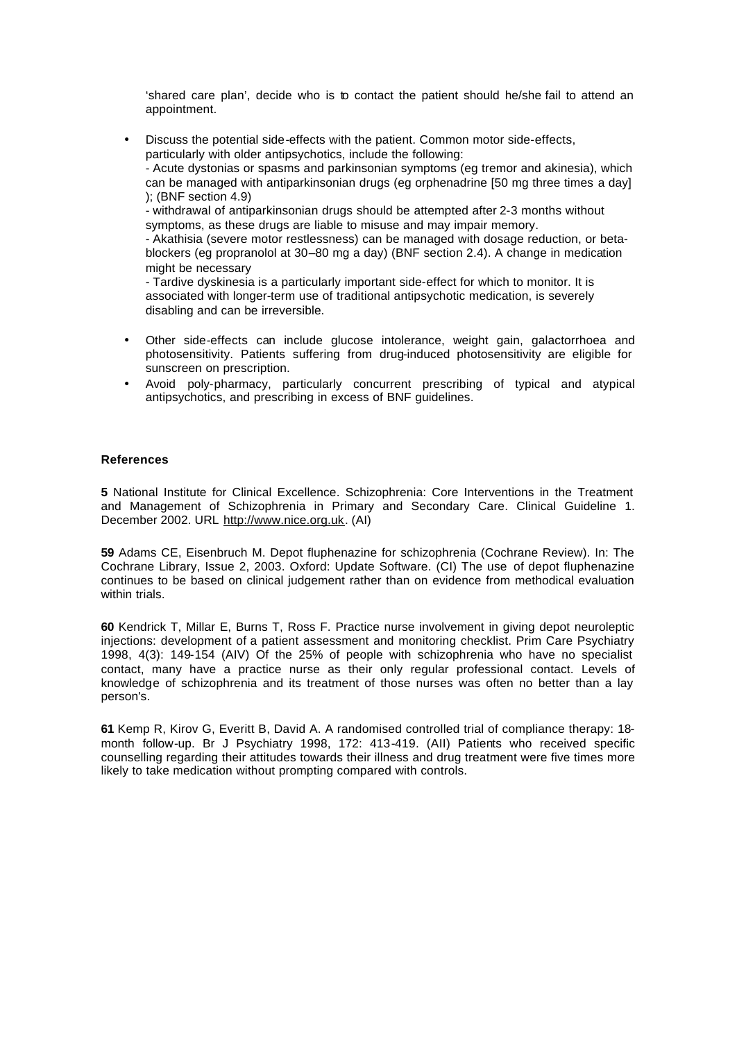'shared care plan', decide who is to contact the patient should he/she fail to attend an appointment.

• Discuss the potential side-effects with the patient. Common motor side-effects, particularly with older antipsychotics, include the following: - Acute dystonias or spasms and parkinsonian symptoms (eg tremor and akinesia), which can be managed with antiparkinsonian drugs (eg orphenadrine [50 mg three times a day] ); (BNF section 4.9) - withdrawal of antiparkinsonian drugs should be attempted after 2-3 months without symptoms, as these drugs are liable to misuse and may impair memory. - Akathisia (severe motor restlessness) can be managed with dosage reduction, or beta-

blockers (eg propranolol at 30–80 mg a day) (BNF section 2.4). A change in medication might be necessary

- Tardive dyskinesia is a particularly important side-effect for which to monitor. It is associated with longer-term use of traditional antipsychotic medication, is severely disabling and can be irreversible.

- Other side-effects can include glucose intolerance, weight gain, galactorrhoea and photosensitivity. Patients suffering from drug-induced photosensitivity are eligible for sunscreen on prescription.
- Avoid poly-pharmacy, particularly concurrent prescribing of typical and atypical antipsychotics, and prescribing in excess of BNF guidelines.

### **References**

**5** National Institute for Clinical Excellence. Schizophrenia: Core Interventions in the Treatment and Management of Schizophrenia in Primary and Secondary Care. Clinical Guideline 1. December 2002. URL http://www.nice.org.uk. (AI)

**59** Adams CE, Eisenbruch M. Depot fluphenazine for schizophrenia (Cochrane Review). In: The Cochrane Library, Issue 2, 2003. Oxford: Update Software. (CI) The use of depot fluphenazine continues to be based on clinical judgement rather than on evidence from methodical evaluation within trials.

**60** Kendrick T, Millar E, Burns T, Ross F. Practice nurse involvement in giving depot neuroleptic injections: development of a patient assessment and monitoring checklist. Prim Care Psychiatry 1998, 4(3): 149-154 (AIV) Of the 25% of people with schizophrenia who have no specialist contact, many have a practice nurse as their only regular professional contact. Levels of knowledge of schizophrenia and its treatment of those nurses was often no better than a lay person's.

**61** Kemp R, Kirov G, Everitt B, David A. A randomised controlled trial of compliance therapy: 18 month follow-up. Br J Psychiatry 1998, 172: 413-419. (AII) Patients who received specific counselling regarding their attitudes towards their illness and drug treatment were five times more likely to take medication without prompting compared with controls.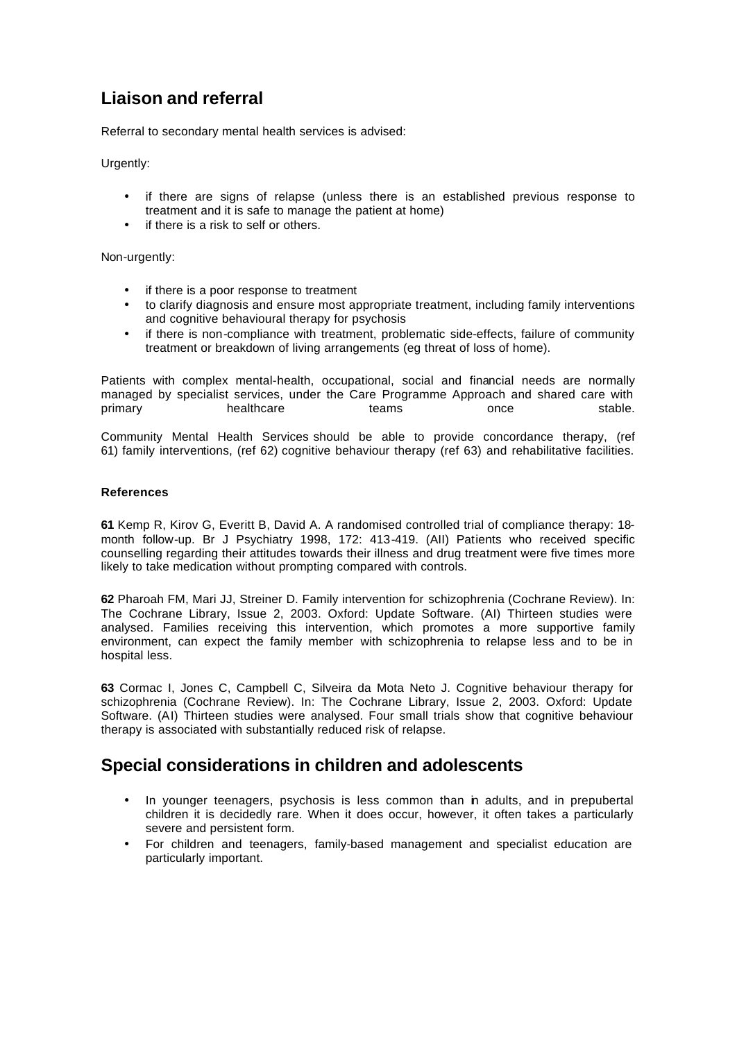# **Liaison and referral**

Referral to secondary mental health services is advised:

Urgently:

- if there are signs of relapse (unless there is an established previous response to treatment and it is safe to manage the patient at home)
- if there is a risk to self or others.

Non-urgently:

- if there is a poor response to treatment
- to clarify diagnosis and ensure most appropriate treatment, including family interventions and cognitive behavioural therapy for psychosis
- if there is non-compliance with treatment, problematic side-effects, failure of community treatment or breakdown of living arrangements (eg threat of loss of home).

Patients with complex mental-health, occupational, social and financial needs are normally managed by specialist services, under the Care Programme Approach and shared care with primary thealthcare teams once stable.

Community Mental Health Services should be able to provide concordance therapy, (ref 61) family interventions, (ref 62) cognitive behaviour therapy (ref 63) and rehabilitative facilities.

### **References**

**61** Kemp R, Kirov G, Everitt B, David A. A randomised controlled trial of compliance therapy: 18 month follow-up. Br J Psychiatry 1998, 172: 413-419. (AII) Patients who received specific counselling regarding their attitudes towards their illness and drug treatment were five times more likely to take medication without prompting compared with controls.

**62** Pharoah FM, Mari JJ, Streiner D. Family intervention for schizophrenia (Cochrane Review). In: The Cochrane Library, Issue 2, 2003. Oxford: Update Software. (AI) Thirteen studies were analysed. Families receiving this intervention, which promotes a more supportive family environment, can expect the family member with schizophrenia to relapse less and to be in hospital less.

**63** Cormac I, Jones C, Campbell C, Silveira da Mota Neto J. Cognitive behaviour therapy for schizophrenia (Cochrane Review). In: The Cochrane Library, Issue 2, 2003. Oxford: Update Software. (AI) Thirteen studies were analysed. Four small trials show that cognitive behaviour therapy is associated with substantially reduced risk of relapse.

### **Special considerations in children and adolescents**

- In younger teenagers, psychosis is less common than in adults, and in prepubertal children it is decidedly rare. When it does occur, however, it often takes a particularly severe and persistent form.
- For children and teenagers, family-based management and specialist education are particularly important.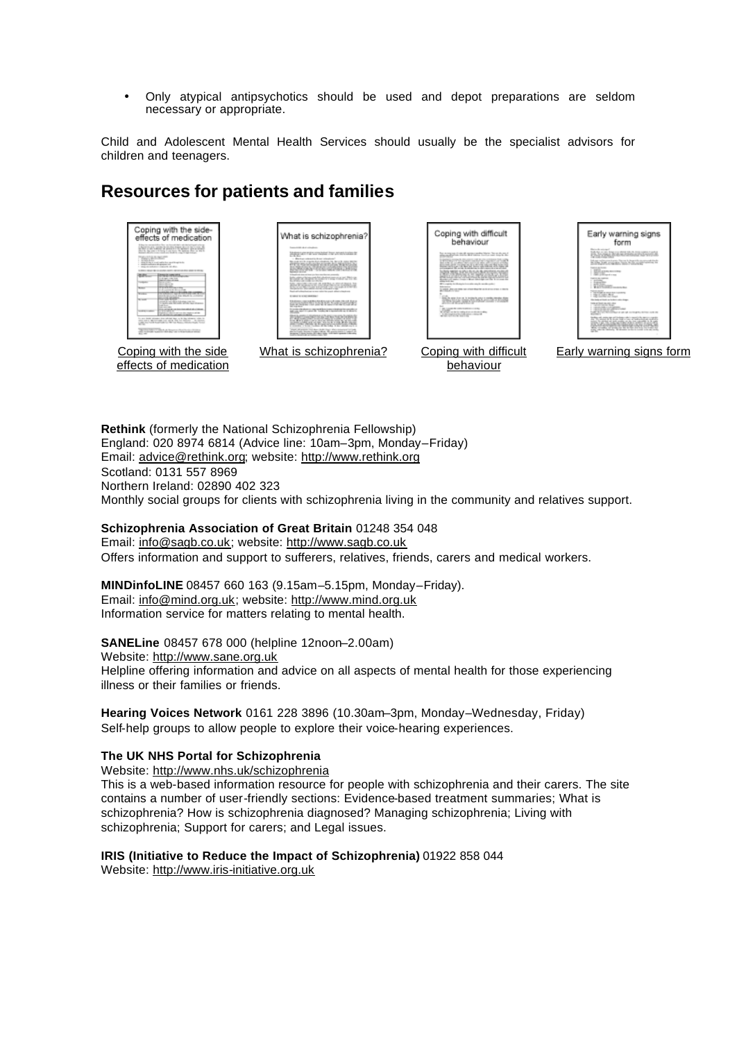• Only atypical antipsychotics should be used and depot preparations are seldom necessary or appropriate.

Child and Adolescent Mental Health Services should usually be the specialist advisors for children and teenagers.

### **Resources for patients and families**

| Coping with the side-<br>effects of medication<br>I have the second data of the car interest that a still decision of a decision<br>ACCOUNTS EXPERIENCE \$500 BILTI SETTING \$1<br>as they at the business at answer is a 10 agreement about seventh<br><b>BUS BURLINGS LIKES IN MISLIKE WITH</b><br><b><i>TELETARISMENT</i></b><br>Allege Ave.<br>structure in the country and the first country of the part in the<br>specific policies of the property of<br>state an extensive character and stat-<br><b>PRICING IN CLAIMS AND ROOM RESIDENTS</b><br><b><i>Charles Hollington</i></b><br>THE OWN IS NOT THE<br><b>Dealership State Adviced</b><br><b>Married World Care</b><br><b>STATISTICS</b><br>$-$<br>and contracted from them.<br>suicide officer invehicle an oprehen-<br>and the first the structure countries.<br><b>ANTIQUES</b><br><b>herself</b><br>COMPANY REPORT FOR THE REAL<br>Lake Ave.<br>the control with a<br>three carried and completes domestical advertising and<br><b><i><u>ATTN: COMMONS</u></i></b><br>.<br>logical constitution and consider maskers will be<br>A children in company is conciled<br>is an ideal stream the relictal day to be incidence with its<br>state and a decomposition and ask the the declinery. The parents<br>and the world three fields for the way forms. All colors and the ser-<br>the control of the dealership and the | What is schizophrenia?<br>because of a little state and in additional process.<br>Strategies such that successful at the art of the Angles for<br>$-5.5 -$<br>Between the Children standard<br>be and the first think of challen, 14, \$1.1.5, since \$60.00<br><b>BASKYMEDANING</b><br><b>MONEY SERVICE</b><br>interesting to the content and have now that you approach-<br><b>DECEMBER 2005</b><br><b>BOOK WARRANT WARRANT</b><br>look will allow hat we can say take for each allow a leader in<br><b>CONTRACTOR IN A STORY OF AN ADDRESS</b><br><b>STORY AND ARRANGEMENT</b><br>to consider this silence on comparison in them compare to analyze the considered at<br>and concentration and the fundaction is based with on 10 showers.<br>FINEDADFENADVOIDVON<br><b>STATISTICS</b> IN THE CARD THE<br>consider in books Cardiano all the finder. It has administrate to a<br>thank all articles in a later thank that I date intermediate that<br>particularly decorate changes in this at 100 percent state in contact of<br>program in darks furniture plans wakes rights conditioned to specialize in the select<br>and a decorational art resident chiefs. But | Coping with difficult<br>behaviour<br>has a way you in this fit against and to black the state and a<br><b>LETENTY DESCRIPTION AND STREET</b><br>provided their company at \$15 Millions can be a scarced<br>deputy balls can list that and destroy and defining of the lights and<br>policies and the collaboration of the special constitutes<br>20.09.02.02.04.0202<br>The country control of the country of the country of the country of<br>Montercyli sales closer a Most detection can the forecaste the<br>and the fact that<br>When with high standard an alleged and conductable<br><b>Advertising</b><br>THE WILL IS to an extended to a contract the<br><b>CONTRACTOR</b><br>comes the series & on an in excitation policy is consider meraline offered<br>SUSPICIOUS AND CONTRACTOR CROSS<br>AND RUSSIAN RECORDS FOR FIXED BY<br>With the first constitution of the constitution of the constitution of the con-<br>and offered with the card | Early warning signs<br>form<br>Barrello solo de l'<br>PENGALWARIAN MARKET<br>the court change follows<br>lakan rajimproclopas Nacra kulopotik memenik indu<br>2012/02/05 AT RESERVE THE PURSUAN PROPERTY AND<br><b>SERVICE RECORDS</b><br>- All coloration and the<br>----<br>1. THE STREET END<br><b>CARDON BELLEVILLE</b><br><b>CONTRACT</b><br><b>Service</b><br>and learn.<br><b>WANTED STATES</b><br><b>CARD BAR</b><br>THE WITCHES OF MINIMUM BLACK COMMUNIST<br>空口の方に。<br>the bob sellings as in the control of<br>THIS AT THE ALARM CALL<br>can all the facts.<br>contrasts of the country committee.<br>the top the air all-way what<br>ART RETAIL FOR A STATE AND A CONTRACTOR CONTRACTOR<br>levibles will control ago and invitation reducts managingly ago is a coupled<br>die Thurstead & Business and a computer bookselectures and other<br><b>REACHING BOOT ALSO</b><br>Miller, considere all'anniso dei Mil de Tele che bia francese del<br>and the to delivery. It doesn't to be a start or to see their |
|-----------------------------------------------------------------------------------------------------------------------------------------------------------------------------------------------------------------------------------------------------------------------------------------------------------------------------------------------------------------------------------------------------------------------------------------------------------------------------------------------------------------------------------------------------------------------------------------------------------------------------------------------------------------------------------------------------------------------------------------------------------------------------------------------------------------------------------------------------------------------------------------------------------------------------------------------------------------------------------------------------------------------------------------------------------------------------------------------------------------------------------------------------------------------------------------------------------------------------------------------------------------------------------------------------------------------------------------------------------------------------------------|---------------------------------------------------------------------------------------------------------------------------------------------------------------------------------------------------------------------------------------------------------------------------------------------------------------------------------------------------------------------------------------------------------------------------------------------------------------------------------------------------------------------------------------------------------------------------------------------------------------------------------------------------------------------------------------------------------------------------------------------------------------------------------------------------------------------------------------------------------------------------------------------------------------------------------------------------------------------------------------------------------------------------------------------------------------------------------------------------------------------------------------------------------------------------|------------------------------------------------------------------------------------------------------------------------------------------------------------------------------------------------------------------------------------------------------------------------------------------------------------------------------------------------------------------------------------------------------------------------------------------------------------------------------------------------------------------------------------------------------------------------------------------------------------------------------------------------------------------------------------------------------------------------------------------------------------------------------------------------------------------------------------------------------------------------------------------------------------------------------------------------------------|----------------------------------------------------------------------------------------------------------------------------------------------------------------------------------------------------------------------------------------------------------------------------------------------------------------------------------------------------------------------------------------------------------------------------------------------------------------------------------------------------------------------------------------------------------------------------------------------------------------------------------------------------------------------------------------------------------------------------------------------------------------------------------------------------------------------------------------------------------------------------------------------------------------------------------------------------------------------------------------------------------------------------|
| Coping with the side<br>effects of medication                                                                                                                                                                                                                                                                                                                                                                                                                                                                                                                                                                                                                                                                                                                                                                                                                                                                                                                                                                                                                                                                                                                                                                                                                                                                                                                                           | What is schizophrenia?                                                                                                                                                                                                                                                                                                                                                                                                                                                                                                                                                                                                                                                                                                                                                                                                                                                                                                                                                                                                                                                                                                                                                    | Coping with difficult<br>behaviour                                                                                                                                                                                                                                                                                                                                                                                                                                                                                                                                                                                                                                                                                                                                                                                                                                                                                                                         | Early warning signs form                                                                                                                                                                                                                                                                                                                                                                                                                                                                                                                                                                                                                                                                                                                                                                                                                                                                                                                                                                                                   |

**Rethink** (formerly the National Schizophrenia Fellowship) England: 020 8974 6814 (Advice line: 10am–3pm, Monday–Friday) Email: advice@rethink.org; website: http://www.rethink.org Scotland: 0131 557 8969 Northern Ireland: 02890 402 323 Monthly social groups for clients with schizophrenia living in the community and relatives support.

### **Schizophrenia Association of Great Britain** 01248 354 048

Email: info@sagb.co.uk; website: http://www.sagb.co.uk Offers information and support to sufferers, relatives, friends, carers and medical workers.

**MINDinfoLINE** 08457 660 163 (9.15am–5.15pm, Monday–Friday). Email: info@mind.org.uk; website: http://www.mind.org.uk Information service for matters relating to mental health.

### **SANELine** 08457 678 000 (helpline 12noon–2.00am)

Website: http://www.sane.org.uk Helpline offering information and advice on all aspects of mental health for those experiencing illness or their families or friends.

**Hearing Voices Network** 0161 228 3896 (10.30am–3pm, Monday–Wednesday, Friday) Self-help groups to allow people to explore their voice-hearing experiences.

### **The UK NHS Portal for Schizophrenia**

Website: http://www.nhs.uk/schizophrenia

This is a web-based information resource for people with schizophrenia and their carers. The site contains a number of user-friendly sections: Evidence-based treatment summaries; What is schizophrenia? How is schizophrenia diagnosed? Managing schizophrenia; Living with schizophrenia; Support for carers; and Legal issues.

### **IRIS (Initiative to Reduce the Impact of Schizophrenia)** 01922 858 044 Website: http://www.iris-initiative.org.uk